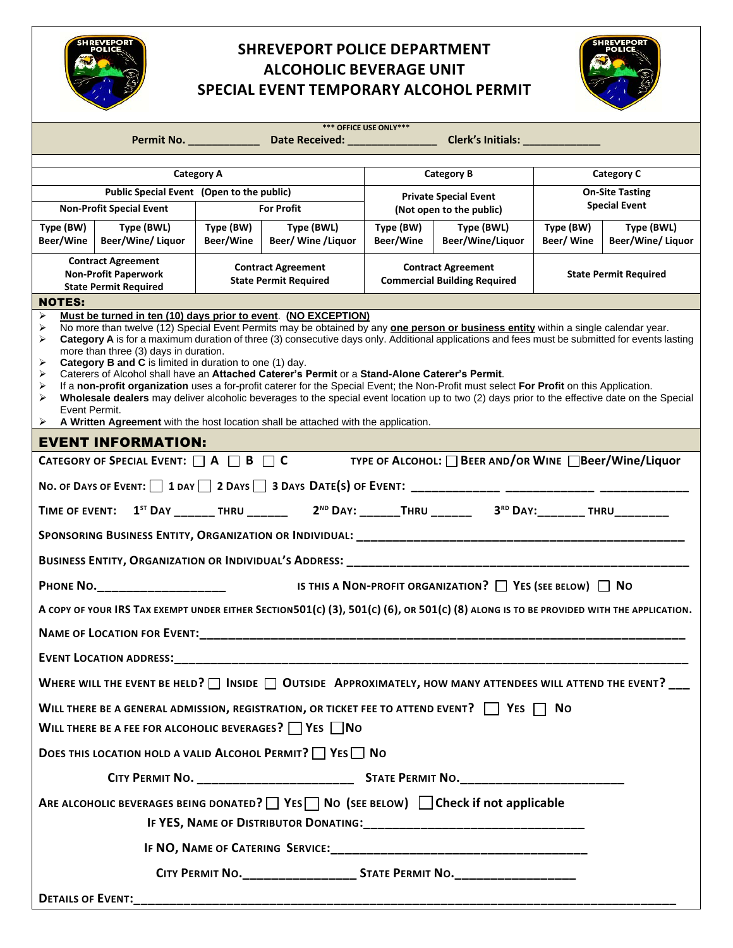

## **SHREVEPORT POLICE DEPARTMENT ALCOHOLIC BEVERAGE UNIT SPECIAL EVENT TEMPORARY ALCOHOL PERMIT**



|                                                                                                                                                                                                                                                                                                                                                                                                                                                                                                                                                                                                                                                                                                                                                                                                                                                                                                                                                                                                                   |                                 |                                                                | Permit No. _____________________Date Received: __________________________________ Clerk's Initials: ________________                                                      | *** OFFICE USE ONLY***                                           |                                |                                                |                                        |
|-------------------------------------------------------------------------------------------------------------------------------------------------------------------------------------------------------------------------------------------------------------------------------------------------------------------------------------------------------------------------------------------------------------------------------------------------------------------------------------------------------------------------------------------------------------------------------------------------------------------------------------------------------------------------------------------------------------------------------------------------------------------------------------------------------------------------------------------------------------------------------------------------------------------------------------------------------------------------------------------------------------------|---------------------------------|----------------------------------------------------------------|---------------------------------------------------------------------------------------------------------------------------------------------------------------------------|------------------------------------------------------------------|--------------------------------|------------------------------------------------|----------------------------------------|
|                                                                                                                                                                                                                                                                                                                                                                                                                                                                                                                                                                                                                                                                                                                                                                                                                                                                                                                                                                                                                   |                                 |                                                                |                                                                                                                                                                           |                                                                  |                                |                                                |                                        |
| <b>Category A</b>                                                                                                                                                                                                                                                                                                                                                                                                                                                                                                                                                                                                                                                                                                                                                                                                                                                                                                                                                                                                 |                                 |                                                                |                                                                                                                                                                           | <b>Category B</b>                                                |                                | <b>Category C</b>                              |                                        |
| <b>Non-Profit Special Event</b>                                                                                                                                                                                                                                                                                                                                                                                                                                                                                                                                                                                                                                                                                                                                                                                                                                                                                                                                                                                   |                                 | Public Special Event (Open to the public)<br><b>For Profit</b> |                                                                                                                                                                           | <b>Private Special Event</b><br>(Not open to the public)         |                                | <b>On-Site Tasting</b><br><b>Special Event</b> |                                        |
| Type (BW)<br>Beer/Wine                                                                                                                                                                                                                                                                                                                                                                                                                                                                                                                                                                                                                                                                                                                                                                                                                                                                                                                                                                                            | Type (BWL)<br>Beer/Wine/ Liquor | Type (BW)<br>Beer/Wine                                         | Type (BWL)<br>Beer/ Wine / Liquor                                                                                                                                         | Type (BW)<br>Beer/Wine                                           | Type (BWL)<br>Beer/Wine/Liquor | Type (BW)<br>Beer/Wine                         | Type (BWL)<br><b>Beer/Wine/ Liquor</b> |
| <b>Contract Agreement</b><br><b>Non-Profit Paperwork</b><br><b>State Permit Required</b>                                                                                                                                                                                                                                                                                                                                                                                                                                                                                                                                                                                                                                                                                                                                                                                                                                                                                                                          |                                 | <b>Contract Agreement</b><br><b>State Permit Required</b>      |                                                                                                                                                                           | <b>Contract Agreement</b><br><b>Commercial Building Required</b> |                                | <b>State Permit Required</b>                   |                                        |
| <b>NOTES:</b>                                                                                                                                                                                                                                                                                                                                                                                                                                                                                                                                                                                                                                                                                                                                                                                                                                                                                                                                                                                                     |                                 |                                                                |                                                                                                                                                                           |                                                                  |                                |                                                |                                        |
| Must be turned in ten (10) days prior to event. (NO EXCEPTION)<br>⋗<br>No more than twelve (12) Special Event Permits may be obtained by any <b>one person or business entity</b> within a single calendar year.<br>➤<br>Category A is for a maximum duration of three (3) consecutive days only. Additional applications and fees must be submitted for events lasting<br>➤<br>more than three (3) days in duration.<br><b>Category B and C</b> is limited in duration to one (1) day.<br>➤<br>Caterers of Alcohol shall have an Attached Caterer's Permit or a Stand-Alone Caterer's Permit.<br>➤<br>If a non-profit organization uses a for-profit caterer for the Special Event; the Non-Profit must select For Profit on this Application.<br>⋗<br>➤<br>Wholesale dealers may deliver alcoholic beverages to the special event location up to two (2) days prior to the effective date on the Special<br>Event Permit.<br>A Written Agreement with the host location shall be attached with the application. |                                 |                                                                |                                                                                                                                                                           |                                                                  |                                |                                                |                                        |
| <b>EVENT INFORMATION:</b>                                                                                                                                                                                                                                                                                                                                                                                                                                                                                                                                                                                                                                                                                                                                                                                                                                                                                                                                                                                         |                                 |                                                                |                                                                                                                                                                           |                                                                  |                                |                                                |                                        |
|                                                                                                                                                                                                                                                                                                                                                                                                                                                                                                                                                                                                                                                                                                                                                                                                                                                                                                                                                                                                                   |                                 |                                                                | CATEGORY OF SPECIAL EVENT: $\Box$ A $\Box$ B $\Box$ C TYPE OF ALCOHOL: $\Box$ BEER AND/OR WINE $\Box$ Beer/Wine/Liquor                                                    |                                                                  |                                |                                                |                                        |
|                                                                                                                                                                                                                                                                                                                                                                                                                                                                                                                                                                                                                                                                                                                                                                                                                                                                                                                                                                                                                   |                                 |                                                                |                                                                                                                                                                           |                                                                  |                                |                                                |                                        |
| TIME OF EVENT: 1 <sup>ST</sup> DAY _______ THRU _______  2 <sup>ND</sup> DAY: ______THRU _______  3 <sup>RD</sup> DAY: ________ THRU _________                                                                                                                                                                                                                                                                                                                                                                                                                                                                                                                                                                                                                                                                                                                                                                                                                                                                    |                                 |                                                                |                                                                                                                                                                           |                                                                  |                                |                                                |                                        |
|                                                                                                                                                                                                                                                                                                                                                                                                                                                                                                                                                                                                                                                                                                                                                                                                                                                                                                                                                                                                                   |                                 |                                                                |                                                                                                                                                                           |                                                                  |                                |                                                |                                        |
| BUSINESS ENTITY, ORGANIZATION OR INDIVIDUAL'S ADDRESS: __________________________                                                                                                                                                                                                                                                                                                                                                                                                                                                                                                                                                                                                                                                                                                                                                                                                                                                                                                                                 |                                 |                                                                |                                                                                                                                                                           |                                                                  |                                |                                                |                                        |
| IS THIS A NON-PROFIT ORGANIZATION? $\Box$ YES (SEE BELOW) $\Box$ NO<br>PHONE NO. ____________________                                                                                                                                                                                                                                                                                                                                                                                                                                                                                                                                                                                                                                                                                                                                                                                                                                                                                                             |                                 |                                                                |                                                                                                                                                                           |                                                                  |                                |                                                |                                        |
| A COPY OF YOUR IRS TAX EXEMPT UNDER EITHER SECTION501(c) (3), 501(c) (6), OR 501(c) (8) ALONG IS TO BE PROVIDED WITH THE APPLICATION.                                                                                                                                                                                                                                                                                                                                                                                                                                                                                                                                                                                                                                                                                                                                                                                                                                                                             |                                 |                                                                |                                                                                                                                                                           |                                                                  |                                |                                                |                                        |
|                                                                                                                                                                                                                                                                                                                                                                                                                                                                                                                                                                                                                                                                                                                                                                                                                                                                                                                                                                                                                   |                                 |                                                                | <b>NAME OF LOCATION FOR EVENT:</b> NAME OF LOCATION FOR EVENT:                                                                                                            |                                                                  |                                |                                                |                                        |
|                                                                                                                                                                                                                                                                                                                                                                                                                                                                                                                                                                                                                                                                                                                                                                                                                                                                                                                                                                                                                   | <b>EVENT LOCATION ADDRESS:</b>  |                                                                |                                                                                                                                                                           |                                                                  |                                |                                                |                                        |
|                                                                                                                                                                                                                                                                                                                                                                                                                                                                                                                                                                                                                                                                                                                                                                                                                                                                                                                                                                                                                   |                                 |                                                                | WHERE WILL THE EVENT BE HELD? $\Box$ INSIDE $\Box$ OUTSIDE APPROXIMATELY, HOW MANY ATTENDEES WILL ATTEND THE EVENT?                                                       |                                                                  |                                |                                                |                                        |
|                                                                                                                                                                                                                                                                                                                                                                                                                                                                                                                                                                                                                                                                                                                                                                                                                                                                                                                                                                                                                   |                                 |                                                                | WILL THERE BE A GENERAL ADMISSION, REGISTRATION, OR TICKET FEE TO ATTEND EVENT? $\Box$ YES $\Box$ No<br>WILL THERE BE A FEE FOR ALCOHOLIC BEVERAGES? $\Box$ YES $\Box$ No |                                                                  |                                |                                                |                                        |
| DOES THIS LOCATION HOLD A VALID ALCOHOL PERMIT?   YES   NO                                                                                                                                                                                                                                                                                                                                                                                                                                                                                                                                                                                                                                                                                                                                                                                                                                                                                                                                                        |                                 |                                                                |                                                                                                                                                                           |                                                                  |                                |                                                |                                        |
|                                                                                                                                                                                                                                                                                                                                                                                                                                                                                                                                                                                                                                                                                                                                                                                                                                                                                                                                                                                                                   |                                 |                                                                |                                                                                                                                                                           |                                                                  |                                |                                                |                                        |
| ARE ALCOHOLIC BEVERAGES BEING DONATED? TES TO NO (SEE BELOW) Check if not applicable                                                                                                                                                                                                                                                                                                                                                                                                                                                                                                                                                                                                                                                                                                                                                                                                                                                                                                                              |                                 |                                                                |                                                                                                                                                                           |                                                                  |                                |                                                |                                        |
|                                                                                                                                                                                                                                                                                                                                                                                                                                                                                                                                                                                                                                                                                                                                                                                                                                                                                                                                                                                                                   |                                 |                                                                |                                                                                                                                                                           |                                                                  |                                |                                                |                                        |
| CITY PERMIT NO.______________________ STATE PERMIT NO.__________________________                                                                                                                                                                                                                                                                                                                                                                                                                                                                                                                                                                                                                                                                                                                                                                                                                                                                                                                                  |                                 |                                                                |                                                                                                                                                                           |                                                                  |                                |                                                |                                        |
| <b>DETAILS OF EVENT:</b>                                                                                                                                                                                                                                                                                                                                                                                                                                                                                                                                                                                                                                                                                                                                                                                                                                                                                                                                                                                          |                                 |                                                                |                                                                                                                                                                           |                                                                  |                                |                                                |                                        |